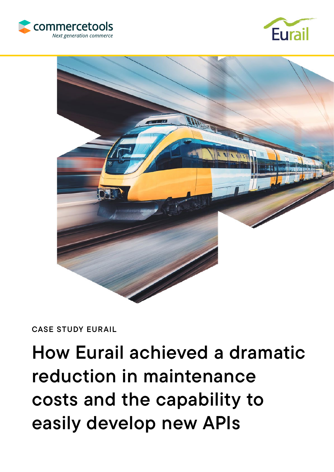





## CASE STUDY EURAIL

# How Eurail achieved a dramatic reduction in maintenance costs and the capability to easily develop new APIs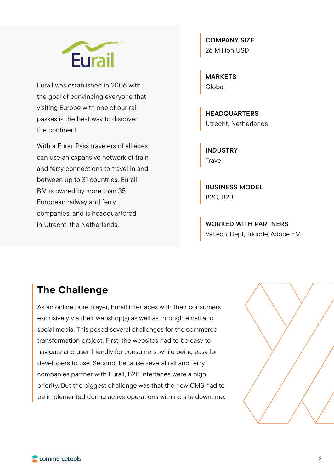

Eurail was established in 2006 with the goal of convincing everyone that visiting Europe with one of our rail passes is the best way to discover the continent.

With a Eurail Pass travelers of all ages can use an expansive network of train and ferry connections to travel in and between up to 31 countries. Eurail B.V. is owned by more than 35 European railway and ferry companies, and is headquartered in Utrecht, the Netherlands.

COMPANY SIZE 26 Million USD

MARKETS **Global** 

**HEADQUARTERS** Utrecht, Netherlands

INDUSTRY Travel

BUSINESS MODEL B2C, B2B

WORKED WITH PARTNERS Valtech, Dept, Tricode, Adobe EM

## The Challenge

As an online pure player, Eurail interfaces with their consumers exclusively via their webshop(s) as well as through email and social media. This posed several challenges for the commerce transformation project. First, the websites had to be easy to navigate and user-friendly for consumers, while being easy for developers to use. Second, because several rail and ferry companies partner with Eurail, B2B interfaces were a high priority. But the biggest challenge was that the new CMS had to be implemented during active operations with no site downtime.

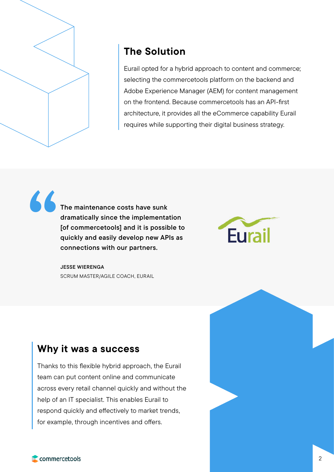

# The Solution

Eurail opted for a hybrid approach to content and commerce; selecting the commercetools platform on the backend and Adobe Experience Manager (AEM) for content management on the frontend. Because commercetools has an API-first architecture, it provides all the eCommerce capability Eurail requires while supporting their digital business strategy.

The maintenance costs have sunk dramatically since the implementation [of commercetools] and it is possible to quickly and easily develop new APIs as connections with our partners. "



JESSE WIERENGA SCRUM MASTER/AGILE COACH, EURAIL

## Why it was a success

Thanks to this flexible hybrid approach, the Eurail team can put content online and communicate across every retail channel quickly and without the help of an IT specialist. This enables Eurail to respond quickly and effectively to market trends, for example, through incentives and offers.